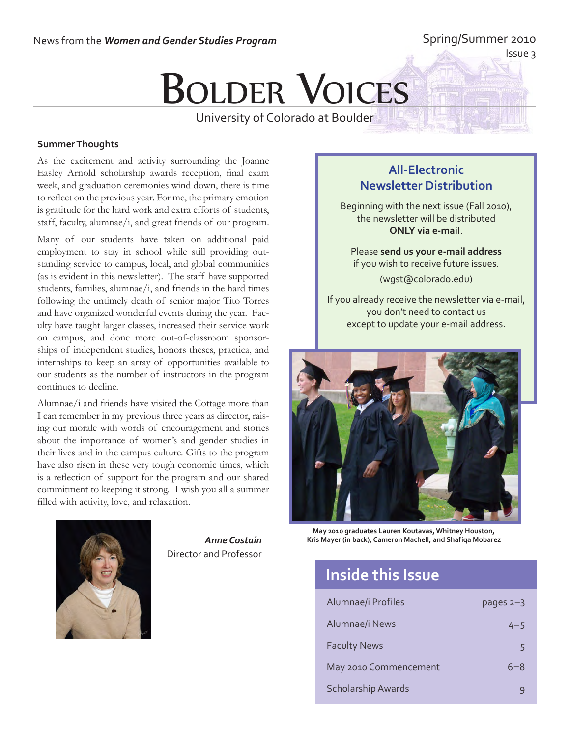## Spring/Summer 2010

Issue 3

# **BOLDER VOICES**

# University of Colorado at Boulder

#### **Summer Thoughts**

As the excitement and activity surrounding the Joanne Easley Arnold scholarship awards reception, final exam week, and graduation ceremonies wind down, there is time to reflect on the previous year. For me, the primary emotion is gratitude for the hard work and extra efforts of students, staff, faculty, alumnae/i, and great friends of our program.

Many of our students have taken on additional paid employment to stay in school while still providing outstanding service to campus, local, and global communities (as is evident in this newsletter). The staff have supported students, families, alumnae/i, and friends in the hard times following the untimely death of senior major Tito Torres and have organized wonderful events during the year. Faculty have taught larger classes, increased their service work on campus, and done more out-of-classroom sponsorships of independent studies, honors theses, practica, and internships to keep an array of opportunities available to our students as the number of instructors in the program continues to decline.

Alumnae/i and friends have visited the Cottage more than I can remember in my previous three years as director, raising our morale with words of encouragement and stories about the importance of women's and gender studies in their lives and in the campus culture. Gifts to the program have also risen in these very tough economic times, which is a reflection of support for the program and our shared commitment to keeping it strong. I wish you all a summer filled with activity, love, and relaxation.



*Anne Costain* Director and Professor

# **All-Electronic Newsletter Distribution**

Beginning with the next issue (Fall 2010), the newsletter will be distributed **ONLY via e-mail**.

Please **send us your e-mail address** if you wish to receive future issues. (wgst@colorado.edu)

If you already receive the newsletter via e-mail, you don't need to contact us except to update your e-mail address.



**May 2010 graduates Lauren Koutavas, Whitney Houston, Kris Mayer (in back), Cameron Machell, and Shafiqa Mobarez**

# **Inside this Issue**

| Alumnae/i Profiles        | pages $2-3$ |
|---------------------------|-------------|
| Alumnae/i News            | $4 - 5$     |
| <b>Faculty News</b>       | 5           |
| May 2010 Commencement     | $6 - 8$     |
| <b>Scholarship Awards</b> |             |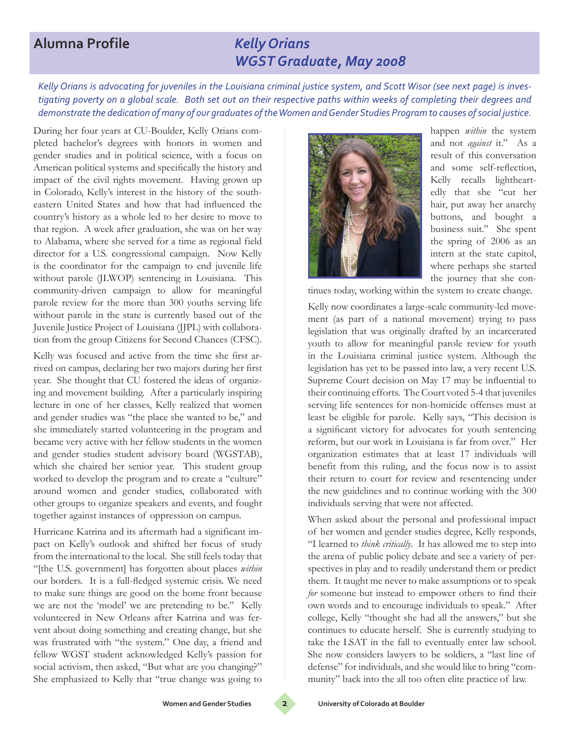# **Alumna Profile** *Kelly Orians*

# *WGST Graduate, May 2008*

*Kelly Orians is advocating for juveniles in the Louisiana criminal justice system, and Scott Wisor (see next page) is investigating poverty on a global scale. Both set out on their respective paths within weeks of completing their degrees and demonstrate the dedication of many of our graduates of the Women and Gender Studies Program to causes of social justice.* 

During her four years at CU-Boulder, Kelly Orians completed bachelor's degrees with honors in women and gender studies and in political science, with a focus on American political systems and specifically the history and impact of the civil rights movement. Having grown up in Colorado, Kelly's interest in the history of the southeastern United States and how that had influenced the country's history as a whole led to her desire to move to that region. A week after graduation, she was on her way to Alabama, where she served for a time as regional field director for a U.S. congressional campaign. Now Kelly is the coordinator for the campaign to end juvenile life without parole (JLWOP) sentencing in Louisiana. This community-driven campaign to allow for meaningful parole review for the more than 300 youths serving life without parole in the state is currently based out of the Juvenile Justice Project of Louisiana (JJPL) with collaboration from the group Citizens for Second Chances (CFSC).

Kelly was focused and active from the time she first arrived on campus, declaring her two majors during her first year. She thought that CU fostered the ideas of organizing and movement building. After a particularly inspiring lecture in one of her classes, Kelly realized that women and gender studies was "the place she wanted to be," and she immediately started volunteering in the program and became very active with her fellow students in the women and gender studies student advisory board (WGSTAB), which she chaired her senior year. This student group worked to develop the program and to create a "culture" around women and gender studies, collaborated with other groups to organize speakers and events, and fought together against instances of oppression on campus.

Hurricane Katrina and its aftermath had a significant impact on Kelly's outlook and shifted her focus of study from the international to the local. She still feels today that "[the U.S. government] has forgotten about places *within* our borders. It is a full-fledged systemic crisis. We need to make sure things are good on the home front because we are not the 'model' we are pretending to be." Kelly volunteered in New Orleans after Katrina and was fervent about doing something and creating change, but she was frustrated with "the system." One day, a friend and fellow WGST student acknowledged Kelly's passion for social activism, then asked, "But what are you changing?" She emphasized to Kelly that "true change was going to



happen *within* the system and not *against* it." As a result of this conversation and some self-reflection, Kelly recalls lightheartedly that she "cut her hair, put away her anarchy buttons, and bought a business suit." She spent the spring of 2006 as an intern at the state capitol, where perhaps she started the journey that she con-

tinues today, working within the system to create change.

Kelly now coordinates a large-scale community-led movement (as part of a national movement) trying to pass legislation that was originally drafted by an incarcerated youth to allow for meaningful parole review for youth in the Louisiana criminal justice system. Although the legislation has yet to be passed into law, a very recent U.S. Supreme Court decision on May 17 may be influential to their continuing efforts. The Court voted 5-4 that juveniles serving life sentences for non-homicide offenses must at least be eligible for parole. Kelly says, "This decision is a significant victory for advocates for youth sentencing reform, but our work in Louisiana is far from over." Her organization estimates that at least 17 individuals will benefit from this ruling, and the focus now is to assist their return to court for review and resentencing under the new guidelines and to continue working with the 300 individuals serving that were not affected.

When asked about the personal and professional impact of her women and gender studies degree, Kelly responds, "I learned to *think critically*. It has allowed me to step into the arena of public policy debate and see a variety of perspectives in play and to readily understand them or predict them. It taught me never to make assumptions or to speak *for* someone but instead to empower others to find their own words and to encourage individuals to speak." After college, Kelly "thought she had all the answers," but she continues to educate herself. She is currently studying to take the LSAT in the fall to eventually enter law school. She now considers lawyers to be soldiers, a "last line of defense" for individuals, and she would like to bring "community" back into the all too often elite practice of law.

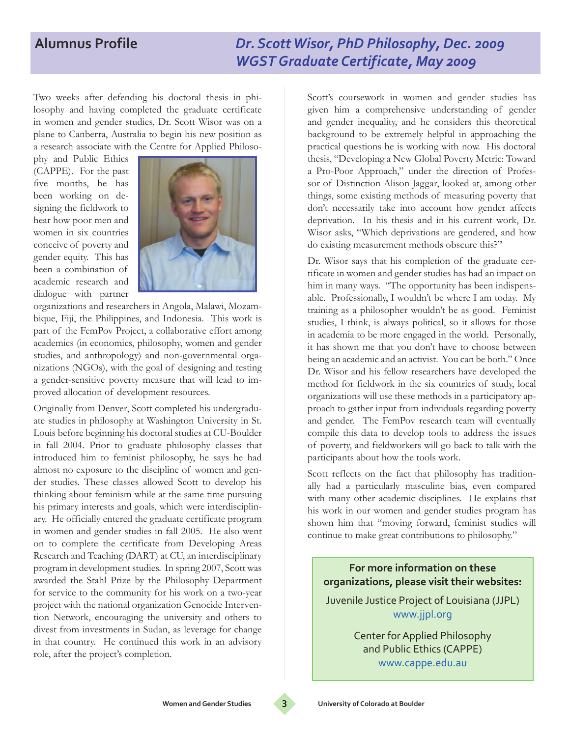**Alumnus Profile** *Dr. Scott Wisor, PhD Philosophy, Dec. 2009 WGST Graduate Certificate, May 2009* 

Two weeks after defending his doctoral thesis in philosophy and having completed the graduate certificate in women and gender studies, Dr. Scott Wisor was on a plane to Canberra, Australia to begin his new position as a research associate with the Centre for Applied Philoso-

phy and Public Ethics (CAPPE). For the past five months, he has been working on designing the fieldwork to hear how poor men and women in six countries conceive of poverty and gender equity. This has been a combination of academic research and dialogue with partner



organizations and researchers in Angola, Malawi, Mozambique, Fiji, the Philippines, and Indonesia. This work is part of the FemPov Project, a collaborative effort among academics (in economics, philosophy, women and gender studies, and anthropology) and non-governmental organizations (NGOs), with the goal of designing and testing a gender-sensitive poverty measure that will lead to improved allocation of development resources.

Originally from Denver, Scott completed his undergraduate studies in philosophy at Washington University in St. Louis before beginning his doctoral studies at CU-Boulder in fall 2004. Prior to graduate philosophy classes that introduced him to feminist philosophy, he says he had almost no exposure to the discipline of women and gender studies. These classes allowed Scott to develop his thinking about feminism while at the same time pursuing his primary interests and goals, which were interdisciplinary. He officially entered the graduate certificate program in women and gender studies in fall 2005. He also went on to complete the certificate from Developing Areas Research and Teaching (DART) at CU, an interdisciplinary program in development studies. In spring 2007, Scott was awarded the Stahl Prize by the Philosophy Department for service to the community for his work on a two-year project with the national organization Genocide Intervention Network, encouraging the university and others to divest from investments in Sudan, as leverage for change in that country. He continued this work in an advisory role, after the project's completion.

Scott's coursework in women and gender studies has given him a comprehensive understanding of gender and gender inequality, and he considers this theoretical background to be extremely helpful in approaching the practical questions he is working with now. His doctoral thesis, "Developing a New Global Poverty Metric: Toward a Pro-Poor Approach," under the direction of Professor of Distinction Alison Jaggar, looked at, among other things, some existing methods of measuring poverty that don't necessarily take into account how gender affects deprivation. In his thesis and in his current work, Dr. Wisor asks, "Which deprivations are gendered, and how do existing measurement methods obscure this?"

Dr. Wisor says that his completion of the graduate certificate in women and gender studies has had an impact on him in many ways. "The opportunity has been indispensable. Professionally, I wouldn't be where I am today. My training as a philosopher wouldn't be as good. Feminist studies, I think, is always political, so it allows for those in academia to be more engaged in the world. Personally, it has shown me that you don't have to choose between being an academic and an activist. You can be both." Once Dr. Wisor and his fellow researchers have developed the method for fieldwork in the six countries of study, local organizations will use these methods in a participatory approach to gather input from individuals regarding poverty and gender. The FemPov research team will eventually compile this data to develop tools to address the issues of poverty, and fieldworkers will go back to talk with the participants about how the tools work.

Scott reflects on the fact that philosophy has traditionally had a particularly masculine bias, even compared with many other academic disciplines. He explains that his work in our women and gender studies program has shown him that "moving forward, feminist studies will continue to make great contributions to philosophy."

# **For more information on these organizations, please visit their websites:**

Juvenile Justice Project of Louisiana (JJPL) www.jjpl.org

> Center for Applied Philosophy and Public Ethics (CAPPE) www.cappe.edu.au

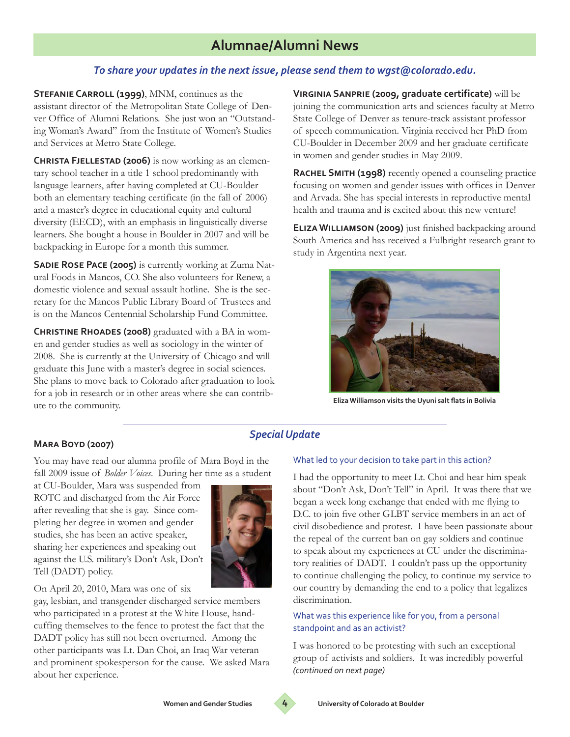# **Alumnae/Alumni News**

# *To share your updates in the next issue, please send them to wgst@colorado.edu.*

**Stefanie Carroll (1999)**, MNM, continues as the assistant director of the Metropolitan State College of Denver Office of Alumni Relations. She just won an "Outstanding Woman's Award" from the Institute of Women's Studies and Services at Metro State College.

**Christa Fjellestad (2006)** is now working as an elementary school teacher in a title 1 school predominantly with language learners, after having completed at CU-Boulder both an elementary teaching certificate (in the fall of 2006) and a master's degree in educational equity and cultural diversity (EECD), with an emphasis in linguistically diverse learners. She bought a house in Boulder in 2007 and will be backpacking in Europe for a month this summer.

**SADIE ROSE PACE (2005)** is currently working at Zuma Natural Foods in Mancos, CO. She also volunteers for Renew, a domestic violence and sexual assault hotline. She is the secretary for the Mancos Public Library Board of Trustees and is on the Mancos Centennial Scholarship Fund Committee.

**Christine Rhoades (2008)** graduated with a BA in women and gender studies as well as sociology in the winter of 2008. She is currently at the University of Chicago and will graduate this June with a master's degree in social sciences. She plans to move back to Colorado after graduation to look for a job in research or in other areas where she can contribute to the community.

**Virginia Sanprie (2009, graduate certificate)** will be joining the communication arts and sciences faculty at Metro State College of Denver as tenure-track assistant professor of speech communication. Virginia received her PhD from CU-Boulder in December 2009 and her graduate certificate in women and gender studies in May 2009.

**Rachel Smith (1998)** recently opened a counseling practice focusing on women and gender issues with offices in Denver and Arvada. She has special interests in reproductive mental health and trauma and is excited about this new venture!

**Eliza Williamson (2009)** just finished backpacking around South America and has received a Fulbright research grant to study in Argentina next year.



**Eliza Williamson visits the Uyuni salt flats in Bolivia**

### **Mara Boyd (2007)**

You may have read our alumna profile of Mara Boyd in the fall 2009 issue of *Bolder Voices*. During her time as a student

at CU-Boulder, Mara was suspended from ROTC and discharged from the Air Force after revealing that she is gay. Since completing her degree in women and gender studies, she has been an active speaker, sharing her experiences and speaking out against the U.S. military's Don't Ask, Don't Tell (DADT) policy.



On April 20, 2010, Mara was one of six

gay, lesbian, and transgender discharged service members who participated in a protest at the White House, handcuffing themselves to the fence to protest the fact that the DADT policy has still not been overturned. Among the other participants was Lt. Dan Choi, an Iraq War veteran and prominent spokesperson for the cause. We asked Mara about her experience.

#### What led to your decision to take part in this action?

I had the opportunity to meet Lt. Choi and hear him speak about "Don't Ask, Don't Tell" in April. It was there that we began a week long exchange that ended with me flying to D.C. to join five other GLBT service members in an act of civil disobedience and protest. I have been passionate about the repeal of the current ban on gay soldiers and continue to speak about my experiences at CU under the discriminatory realities of DADT. I couldn't pass up the opportunity to continue challenging the policy, to continue my service to our country by demanding the end to a policy that legalizes discrimination.

#### What was this experience like for you, from a personal standpoint and as an activist?

I was honored to be protesting with such an exceptional group of activists and soldiers. It was incredibly powerful *(continued on next page)*



*Special Update*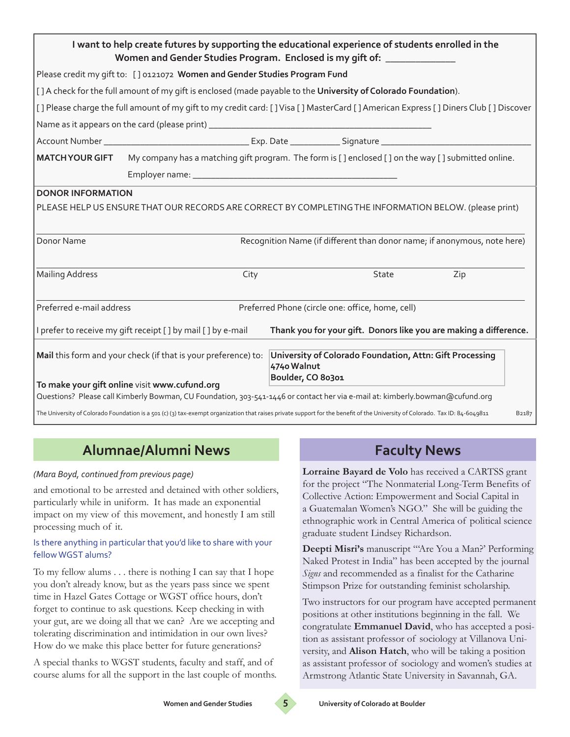| I want to help create futures by supporting the educational experience of students enrolled in the<br>Women and Gender Studies Program. Enclosed is my gift of: _______________                    |                                                                                                                                        |                   |              |                                                                          |  |  |
|----------------------------------------------------------------------------------------------------------------------------------------------------------------------------------------------------|----------------------------------------------------------------------------------------------------------------------------------------|-------------------|--------------|--------------------------------------------------------------------------|--|--|
| Please credit my gift to: [] 0121072 Women and Gender Studies Program Fund                                                                                                                         |                                                                                                                                        |                   |              |                                                                          |  |  |
| [] A check for the full amount of my gift is enclosed (made payable to the University of Colorado Foundation).                                                                                     |                                                                                                                                        |                   |              |                                                                          |  |  |
| [] Please charge the full amount of my gift to my credit card: [] Visa [] MasterCard [] American Express [] Diners Club [] Discover                                                                |                                                                                                                                        |                   |              |                                                                          |  |  |
|                                                                                                                                                                                                    |                                                                                                                                        |                   |              |                                                                          |  |  |
|                                                                                                                                                                                                    |                                                                                                                                        |                   |              |                                                                          |  |  |
|                                                                                                                                                                                                    | MATCH YOUR GIFT My company has a matching gift program. The form is [] enclosed [] on the way [] submitted online.                     |                   |              |                                                                          |  |  |
|                                                                                                                                                                                                    |                                                                                                                                        |                   |              |                                                                          |  |  |
| <b>DONOR INFORMATION</b>                                                                                                                                                                           |                                                                                                                                        |                   |              |                                                                          |  |  |
| PLEASE HELP US ENSURE THAT OUR RECORDS ARE CORRECT BY COMPLETING THE INFORMATION BELOW. (please print)                                                                                             |                                                                                                                                        |                   |              |                                                                          |  |  |
|                                                                                                                                                                                                    |                                                                                                                                        |                   |              |                                                                          |  |  |
| Donor Name                                                                                                                                                                                         |                                                                                                                                        |                   |              | Recognition Name (if different than donor name; if anonymous, note here) |  |  |
|                                                                                                                                                                                                    |                                                                                                                                        |                   |              |                                                                          |  |  |
| <b>Mailing Address</b>                                                                                                                                                                             | City                                                                                                                                   |                   | <b>State</b> | Zip                                                                      |  |  |
|                                                                                                                                                                                                    |                                                                                                                                        |                   |              |                                                                          |  |  |
| Preferred e-mail address                                                                                                                                                                           | Preferred Phone (circle one: office, home, cell)                                                                                       |                   |              |                                                                          |  |  |
| I prefer to receive my gift receipt [] by mail [] by e-mail<br>Thank you for your gift. Donors like you are making a difference.                                                                   |                                                                                                                                        |                   |              |                                                                          |  |  |
|                                                                                                                                                                                                    |                                                                                                                                        |                   |              |                                                                          |  |  |
|                                                                                                                                                                                                    | Mail this form and your check (if that is your preference) to: University of Colorado Foundation, Attn: Gift Processing<br>4740 Walnut |                   |              |                                                                          |  |  |
|                                                                                                                                                                                                    |                                                                                                                                        | Boulder, CO 80301 |              |                                                                          |  |  |
| To make your gift online visit www.cufund.org<br>Questions? Please call Kimberly Bowman, CU Foundation, 303-541-1446 or contact her via e-mail at: kimberly.bowman@cufund.org                      |                                                                                                                                        |                   |              |                                                                          |  |  |
| The University of Colorado Foundation is a 501 (c) (3) tax-exempt organization that raises private support for the benefit of the University of Colorado. Tax ID: 84-6049811<br>B <sub>21</sub> 87 |                                                                                                                                        |                   |              |                                                                          |  |  |

# **Alumnae/Alumni News**

#### *(Mara Boyd, continued from previous page)*

and emotional to be arrested and detained with other soldiers, particularly while in uniform. It has made an exponential impact on my view of this movement, and honestly I am still processing much of it.

#### Is there anything in particular that you'd like to share with your fellow WGST alums?

To my fellow alums . . . there is nothing I can say that I hope you don't already know, but as the years pass since we spent time in Hazel Gates Cottage or WGST office hours, don't forget to continue to ask questions. Keep checking in with your gut, are we doing all that we can? Are we accepting and tolerating discrimination and intimidation in our own lives? How do we make this place better for future generations?

A special thanks to WGST students, faculty and staff, and of course alums for all the support in the last couple of months.

# **Faculty News**

**Lorraine Bayard de Volo** has received a CARTSS grant for the project "The Nonmaterial Long-Term Benefits of Collective Action: Empowerment and Social Capital in a Guatemalan Women's NGO." She will be guiding the ethnographic work in Central America of political science graduate student Lindsey Richardson.

**Deepti Misri's** manuscript "'Are You a Man?' Performing Naked Protest in India" has been accepted by the journal *Signs* and recommended as a finalist for the Catharine Stimpson Prize for outstanding feminist scholarship.

Two instructors for our program have accepted permanent positions at other institutions beginning in the fall. We congratulate **Emmanuel David**, who has accepted a position as assistant professor of sociology at Villanova University, and **Alison Hatch**, who will be taking a position as assistant professor of sociology and women's studies at Armstrong Atlantic State University in Savannah, GA.

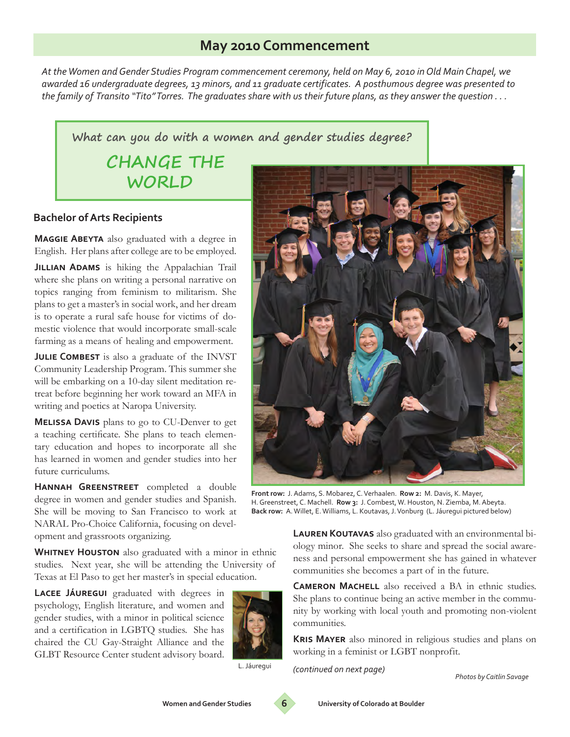# **May 2010 Commencement**

*At the Women and Gender Studies Program commencement ceremony, held on May 6, 2010 in Old Main Chapel, we awarded 16 undergraduate degrees, 13 minors, and 11 graduate certificates. A posthumous degree was presented to the family of Transito "Tito" Torres. The graduates share with us their future plans, as they answer the question . . .*

**What can you do with a women and gender studies degree?**

 **CHANGE THE WORLD**

### **Bachelor of Arts Recipients**

**Maggie Abeyta** also graduated with a degree in English. Her plans after college are to be employed.

**JILLIAN ADAMS** is hiking the Appalachian Trail where she plans on writing a personal narrative on topics ranging from feminism to militarism. She plans to get a master's in social work, and her dream is to operate a rural safe house for victims of domestic violence that would incorporate small-scale farming as a means of healing and empowerment.

**JULIE COMBEST** is also a graduate of the INVST Community Leadership Program. This summer she will be embarking on a 10-day silent meditation retreat before beginning her work toward an MFA in writing and poetics at Naropa University.

**Melissa Davis** plans to go to CU-Denver to get a teaching certificate. She plans to teach elementary education and hopes to incorporate all she has learned in women and gender studies into her future curriculums.

**Hannah Greenstreet** completed a double degree in women and gender studies and Spanish. She will be moving to San Francisco to work at NARAL Pro-Choice California, focusing on development and grassroots organizing.

**WHITNEY HOUSTON** also graduated with a minor in ethnic studies. Next year, she will be attending the University of Texas at El Paso to get her master's in special education.

LACEE JÁUREGUI graduated with degrees in psychology, English literature, and women and gender studies, with a minor in political science and a certification in LGBTQ studies. She has chaired the CU Gay-Straight Alliance and the GLBT Resource Center student advisory board.



L. Jáuregui



**Front row:** J. Adams, S. Mobarez, C. Verhaalen. **Row 2:** M. Davis, K. Mayer, H. Greenstreet, C. Machell. **Row 3:** J. Combest, W. Houston, N. Ziemba, M. Abeyta. **Back row:** A. Willet, E. Williams, L. Koutavas, J. Vonburg (L. Jáuregui pictured below)

**Lauren Koutavas** also graduated with an environmental biology minor. She seeks to share and spread the social awareness and personal empowerment she has gained in whatever communities she becomes a part of in the future.

**Cameron Machell** also received a BA in ethnic studies. She plans to continue being an active member in the community by working with local youth and promoting non-violent communities.

**Kris Mayer** also minored in religious studies and plans on working in a feminist or LGBT nonprofit.

*(continued on next page)*

*Photos by Caitlin Savage*

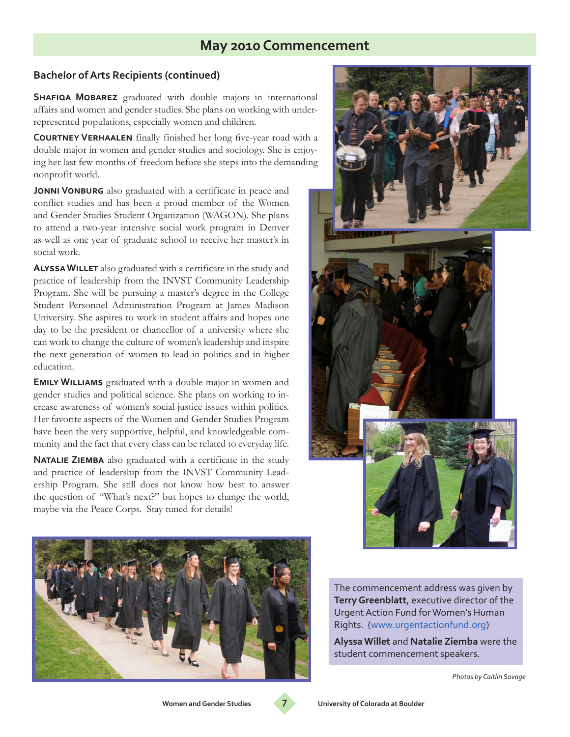# **May 2010 Commencement**

### **Bachelor of Arts Recipients (continued)**

**SHAFIQA MOBAREZ** graduated with double majors in international affairs and women and gender studies. She plans on working with underrepresented populations, especially women and children.

**Courtney Verhaalen** finally finished her long five-year road with a double major in women and gender studies and sociology. She is enjoying her last few months of freedom before she steps into the demanding nonprofit world.

**JONNI VONBURG** also graduated with a certificate in peace and conflict studies and has been a proud member of the Women and Gender Studies Student Organization (WAGON). She plans to attend a two-year intensive social work program in Denver as well as one year of graduate school to receive her master's in social work.

**Alyssa Willet** also graduated with a certificate in the study and practice of leadership from the INVST Community Leadership Program. She will be pursuing a master's degree in the College Student Personnel Administration Program at James Madison University. She aspires to work in student affairs and hopes one day to be the president or chancellor of a university where she can work to change the culture of women's leadership and inspire the next generation of women to lead in politics and in higher education.

**Emily Williams** graduated with a double major in women and gender studies and political science. She plans on working to increase awareness of women's social justice issues within politics. Her favorite aspects of the Women and Gender Studies Program have been the very supportive, helpful, and knowledgeable community and the fact that every class can be related to everyday life.

**Natalie Ziemba** also graduated with a certificate in the study and practice of leadership from the INVST Community Leadership Program. She still does not know how best to answer the question of "What's next?" but hopes to change the world, maybe via the Peace Corps. Stay tuned for details!





The commencement address was given by **Terry Greenblatt**, executive director of the Urgent Action Fund for Women's Human Rights. (www.urgentactionfund.org)

**Alyssa Willet** and **Natalie Ziemba** were the student commencement speakers.

*Photos by Caitlin Savage*

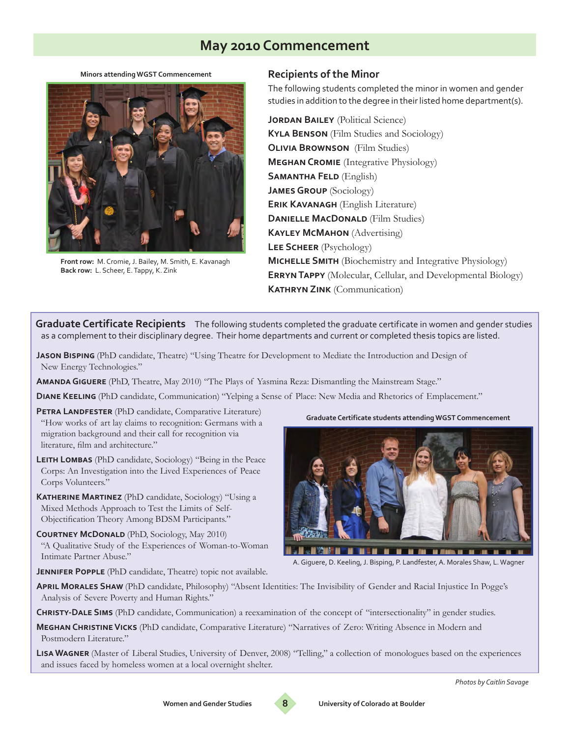# **May 2010 Commencement**

**Minors attending WGST Commencement**



**Front row:** M. Cromie, J. Bailey, M. Smith, E. Kavanagh **Back row:** L. Scheer, E. Tappy, K. Zink

#### **Recipients of the Minor**

The following students completed the minor in women and gender studies in addition to the degree in their listed home department(s).

**JORDAN BAILEY** (Political Science) **Kyla Benson** (Film Studies and Sociology) **Olivia Brownson** (Film Studies) **Meghan Cromie** (Integrative Physiology) **Samantha Feld** (English) **James Group** (Sociology) **Erik Kavanagh** (English Literature) **DANIELLE MACDONALD** (Film Studies) **Kayley McMahon** (Advertising) **Lee Scheer** (Psychology) **MICHELLE SMITH** (Biochemistry and Integrative Physiology) **Erryn Tappy** (Molecular, Cellular, and Developmental Biology) **Kathryn Zink** (Communication)

**Graduate Certificate Recipients** The following students completed the graduate certificate in women and gender studies as a complement to their disciplinary degree. Their home departments and current or completed thesis topics are listed.

**Jason Bisping** (PhD candidate, Theatre) "Using Theatre for Development to Mediate the Introduction and Design of New Energy Technologies."

**Amanda Giguere** (PhD, Theatre, May 2010) "The Plays of Yasmina Reza: Dismantling the Mainstream Stage."

**Diane Keeling** (PhD candidate, Communication) "Yelping a Sense of Place: New Media and Rhetorics of Emplacement."

**PETRA LANDFESTER** (PhD candidate, Comparative Literature) "How works of art lay claims to recognition: Germans with a migration background and their call for recognition via literature, film and architecture."

**Leith Lombas** (PhD candidate, Sociology) "Being in the Peace Corps: An Investigation into the Lived Experiences of Peace Corps Volunteers."

**Katherine Martinez** (PhD candidate, Sociology) "Using a Mixed Methods Approach to Test the Limits of Self- Objectification Theory Among BDSM Participants."

**Courtney McDonald** (PhD, Sociology, May 2010) "A Qualitative Study of the Experiences of Woman-to-Woman Intimate Partner Abuse."

**JENNIFER POPPLE** (PhD candidate, Theatre) topic not available.

**Graduate Certificate students attending WGST Commencement**



A. Giguere, D. Keeling, J. Bisping, P. Landfester, A. Morales Shaw, L. Wagner

**April Morales Shaw** (PhD candidate, Philosophy) "Absent Identities: The Invisibility of Gender and Racial Injustice In Pogge's Analysis of Severe Poverty and Human Rights."

**Christy-Dale Sims** (PhD candidate, Communication) a reexamination of the concept of "intersectionality" in gender studies.

**Meghan Christine Vicks** (PhD candidate, Comparative Literature) "Narratives of Zero: Writing Absence in Modern and Postmodern Literature."

**Lisa Wagner** (Master of Liberal Studies, University of Denver, 2008) "Telling," a collection of monologues based on the experiences and issues faced by homeless women at a local overnight shelter.

*Photos by Caitlin Savage*

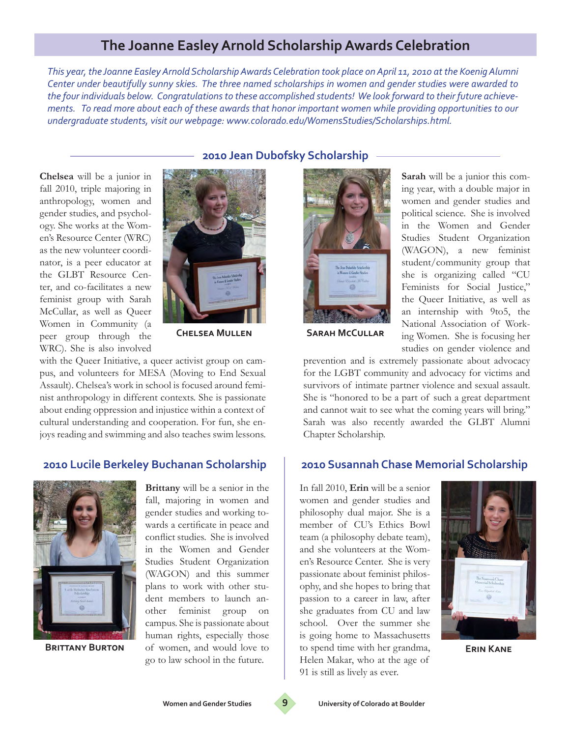# **The Joanne Easley Arnold Scholarship Awards Celebration**

*This year, the Joanne Easley Arnold Scholarship Awards Celebration took place on April 11, 2010 at the Koenig Alumni Center under beautifully sunny skies. The three named scholarships in women and gender studies were awarded to the four individuals below. Congratulations to these accomplished students! We look forward to their future achievements. To read more about each of these awards that honor important women while providing opportunities to our undergraduate students, visit our webpage: www.colorado.edu/WomensStudies/Scholarships.html.*

**Chelsea** will be a junior in fall 2010, triple majoring in anthropology, women and gender studies, and psychology. She works at the Women's Resource Center (WRC) as the new volunteer coordinator, is a peer educator at the GLBT Resource Center, and co-facilitates a new feminist group with Sarah McCullar, as well as Queer Women in Community (a peer group through the WRC). She is also involved



**Chelsea Mullen Sarah McCullar**

with the Queer Initiative, a queer activist group on campus, and volunteers for MESA (Moving to End Sexual Assault). Chelsea's work in school is focused around feminist anthropology in different contexts. She is passionate about ending oppression and injustice within a context of cultural understanding and cooperation. For fun, she enjoys reading and swimming and also teaches swim lessons.



**Brittany** will be a senior in the fall, majoring in women and gender studies and working towards a certificate in peace and conflict studies. She is involved in the Women and Gender Studies Student Organization (WAGON) and this summer plans to work with other student members to launch another feminist group on campus. She is passionate about human rights, especially those of women, and would love to go to law school in the future.

#### **2010 Jean Dubofsky Scholarship**



**Sarah** will be a junior this coming year, with a double major in women and gender studies and political science. She is involved in the Women and Gender Studies Student Organization (WAGON), a new feminist student/community group that she is organizing called "CU Feminists for Social Justice," the Queer Initiative, as well as an internship with 9to5, the National Association of Working Women. She is focusing her studies on gender violence and

prevention and is extremely passionate about advocacy for the LGBT community and advocacy for victims and survivors of intimate partner violence and sexual assault. She is "honored to be a part of such a great department and cannot wait to see what the coming years will bring." Sarah was also recently awarded the GLBT Alumni Chapter Scholarship.

#### **2010 Lucile Berkeley Buchanan Scholarship 2010 Susannah Chase Memorial Scholarship**

In fall 2010, **Erin** will be a senior women and gender studies and philosophy dual major. She is a member of CU's Ethics Bowl team (a philosophy debate team), and she volunteers at the Women's Resource Center. She is very passionate about feminist philosophy, and she hopes to bring that passion to a career in law, after she graduates from CU and law school. Over the summer she is going home to Massachusetts **BRITTANY BURTON** of women, and would love to to spend time with her grandma, **ERIN KANE** Helen Makar, who at the age of 91 is still as lively as ever.